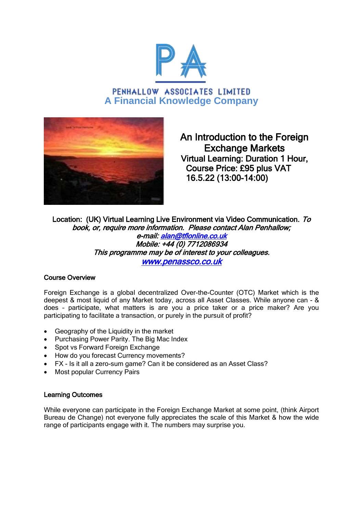

PENHALLOW ASSOCIATES LIMITED **A Financial Knowledge Company**



An Introduction to the Foreign Exchange Markets Virtual Learning: Duration 1 Hour, Course Price: £95 plus VAT 16.5.22 (13:00-14:00)

Location: (UK) Virtual Learning Live Environment via Video Communication. To book, or, require more information. Please contact Alan Penhallow; e-mail: [alan@tflonline.co.uk](mailto:alan@tflonline.co.uk)  Mobile: +44 (0) 7712086934 This programme may be of interest to your colleagues. [www.penassco.co.uk](http://www.penassco.co.uk/) 

## Course Overview

Foreign Exchange is a global decentralized Over-the-Counter (OTC) Market which is the deepest & most liquid of any Market today, across all Asset Classes. While anyone can - & does – participate, what matters is are you a price taker or a price maker? Are you participating to facilitate a transaction, or purely in the pursuit of profit?

- Geography of the Liquidity in the market
- Purchasing Power Parity. The Big Mac Index
- Spot vs Forward Foreign Exchange
- How do you forecast Currency movements?
- FX Is it all a zero-sum game? Can it be considered as an Asset Class?
- Most popular Currency Pairs

## Learning Outcomes

While everyone can participate in the Foreign Exchange Market at some point, (think Airport Bureau de Change) not everyone fully appreciates the scale of this Market & how the wide range of participants engage with it. The numbers may surprise you.